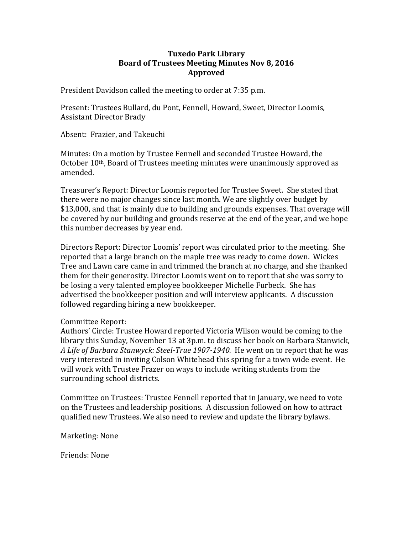# **Tuxedo Park Library Board of Trustees Meeting Minutes Nov 8, 2016 Approved**

President Davidson called the meeting to order at 7:35 p.m.

Present: Trustees Bullard, du Pont, Fennell, Howard, Sweet, Director Loomis, Assistant Director Brady

Absent: Frazier, and Takeuchi

Minutes: On a motion by Trustee Fennell and seconded Trustee Howard, the October 10th, Board of Trustees meeting minutes were unanimously approved as amended.

Treasurer's Report: Director Loomis reported for Trustee Sweet. She stated that there were no major changes since last month. We are slightly over budget by \$13,000, and that is mainly due to building and grounds expenses. That overage will be covered by our building and grounds reserve at the end of the year, and we hope this number decreases by year end.

Directors Report: Director Loomis' report was circulated prior to the meeting. She reported that a large branch on the maple tree was ready to come down. Wickes Tree and Lawn care came in and trimmed the branch at no charge, and she thanked them for their generosity. Director Loomis went on to report that she was sorry to be losing a very talented employee bookkeeper Michelle Furbeck. She has advertised the bookkeeper position and will interview applicants. A discussion followed regarding hiring a new bookkeeper.

#### Committee Report:

Authors' Circle: Trustee Howard reported Victoria Wilson would be coming to the library this Sunday, November 13 at 3p.m. to discuss her book on Barbara Stanwick, *A Life of Barbara Stanwyck: Steel-True 1907-1940.* He went on to report that he was very interested in inviting Colson Whitehead this spring for a town wide event. He will work with Trustee Frazer on ways to include writing students from the surrounding school districts.

Committee on Trustees: Trustee Fennell reported that in January, we need to vote on the Trustees and leadership positions. A discussion followed on how to attract qualified new Trustees. We also need to review and update the library bylaws.

Marketing: None

Friends: None